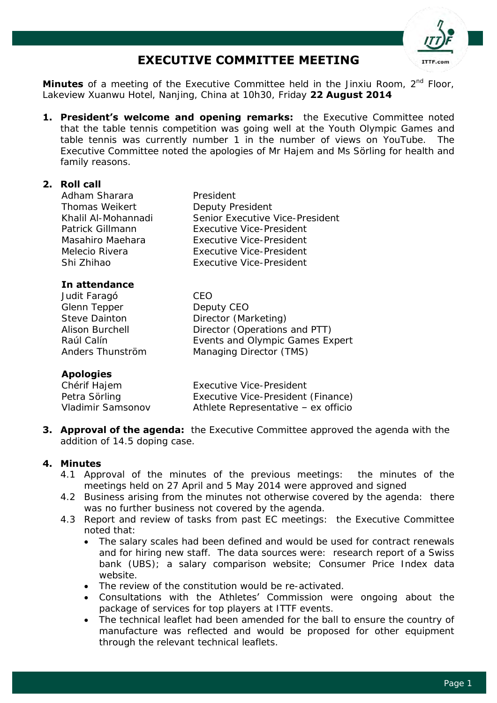

# **EXECUTIVE COMMITTEE MEETING**

**Minutes** of a meeting of the Executive Committee held in the Jinxiu Room, 2<sup>nd</sup> Floor, Lakeview Xuanwu Hotel, Nanjing, China at 10h30, Friday **22 August 2014**

**1. President's welcome and opening remarks:** the Executive Committee noted that the table tennis competition was going well at the Youth Olympic Games and table tennis was currently number 1 in the number of views on YouTube. The Executive Committee noted the apologies of Mr Hajem and Ms Sörling for health and family reasons.

## **2. Roll call**

Adham Sharara President Thomas Weikert **Deputy President** Khalil Al-Mohannadi Senior Executive Vice-President Patrick Gillmann Executive Vice-President Masahiro Maehara Executive Vice-President Melecio Rivera Executive Vice-President Shi Zhihao Executive Vice-President

## **In attendance**

Judit Faragó CEO Glenn Tepper Deputy CEO Steve Dainton **Director (Marketing)** Alison Burchell Director (Operations and PTT) Raúl Calín **Events and Olympic Games Expert** Anders Thunström Managing Director (TMS)

# **Apologies**

| Chérif Hajem      | Executive Vice-President            |
|-------------------|-------------------------------------|
| Petra Sörling     | Executive Vice-President (Finance)  |
| Vladimir Samsonov | Athlete Representative - ex officio |

**3. Approval of the agenda:** the Executive Committee approved the agenda with the addition of 14.5 doping case.

## **4. Minutes**

- 4.1 Approval of the minutes of the previous meetings: the minutes of the meetings held on 27 April and 5 May 2014 were approved and signed
- 4.2 Business arising from the minutes not otherwise covered by the agenda: there was no further business not covered by the agenda.
- 4.3 Report and review of tasks from past EC meetings: the Executive Committee noted that:
	- The salary scales had been defined and would be used for contract renewals and for hiring new staff. The data sources were: research report of a Swiss bank (UBS); a salary comparison website; Consumer Price Index data website.
	- The review of the constitution would be re-activated.
	- Consultations with the Athletes' Commission were ongoing about the package of services for top players at ITTF events.
	- The technical leaflet had been amended for the ball to ensure the country of manufacture was reflected and would be proposed for other equipment through the relevant technical leaflets.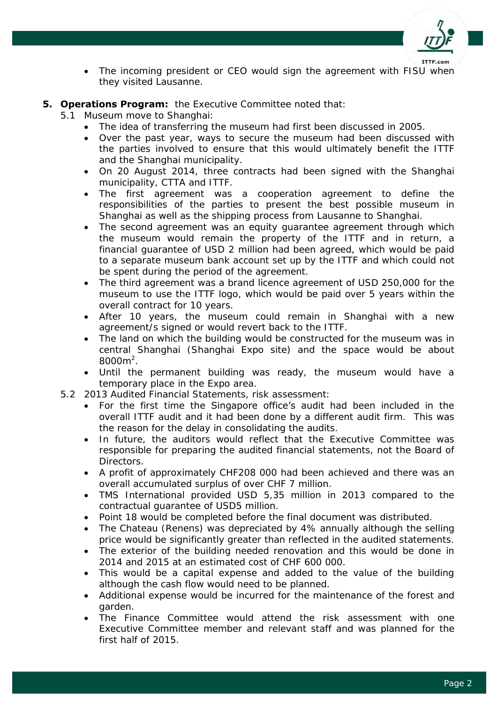

- The incoming president or CEO would sign the agreement with FISU when they visited Lausanne.
- **5. Operations Program:** the Executive Committee noted that:
	- 5.1 Museum move to Shanghai:
		- The idea of transferring the museum had first been discussed in 2005.
		- Over the past year, ways to secure the museum had been discussed with the parties involved to ensure that this would ultimately benefit the ITTF and the Shanghai municipality.
		- On 20 August 2014, three contracts had been signed with the Shanghai municipality, CTTA and ITTF.
		- The first agreement was a cooperation agreement to define the responsibilities of the parties to present the best possible museum in Shanghai as well as the shipping process from Lausanne to Shanghai.
		- The second agreement was an equity guarantee agreement through which the museum would remain the property of the ITTF and in return, a financial guarantee of USD 2 million had been agreed, which would be paid to a separate museum bank account set up by the ITTF and which could not be spent during the period of the agreement.
		- The third agreement was a brand licence agreement of USD 250,000 for the museum to use the ITTF logo, which would be paid over 5 years within the overall contract for 10 years.
		- After 10 years, the museum could remain in Shanghai with a new agreement/s signed or would revert back to the ITTF.
		- The land on which the building would be constructed for the museum was in central Shanghai (Shanghai Expo site) and the space would be about  $8000m^2$ .
		- Until the permanent building was ready, the museum would have a temporary place in the Expo area.
		- 5.2 2013 Audited Financial Statements, risk assessment:
			- For the first time the Singapore office's audit had been included in the overall ITTF audit and it had been done by a different audit firm. This was the reason for the delay in consolidating the audits.
			- In future, the auditors would reflect that the Executive Committee was responsible for preparing the audited financial statements, not the Board of Directors.
			- A profit of approximately CHF208 000 had been achieved and there was an overall accumulated surplus of over CHF 7 million.
			- TMS International provided USD 5,35 million in 2013 compared to the contractual guarantee of USD5 million.
			- Point 18 would be completed before the final document was distributed.
			- The Chateau (Renens) was depreciated by 4% annually although the selling price would be significantly greater than reflected in the audited statements.
			- The exterior of the building needed renovation and this would be done in 2014 and 2015 at an estimated cost of CHF 600 000.
			- This would be a capital expense and added to the value of the building although the cash flow would need to be planned.
			- Additional expense would be incurred for the maintenance of the forest and garden.
			- The Finance Committee would attend the risk assessment with one Executive Committee member and relevant staff and was planned for the first half of 2015.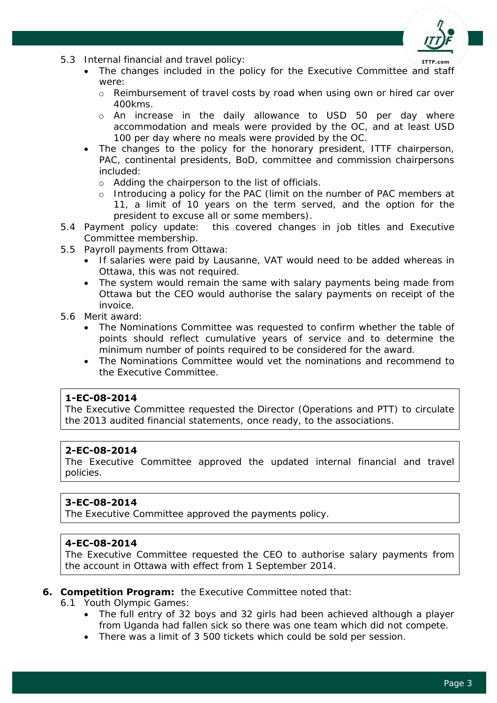

- 5.3 Internal financial and travel policy:
	- The changes included in the policy for the Executive Committee and staff were:
	- o Reimbursement of travel costs by road when using own or hired car over 400kms.
	- o An increase in the daily allowance to USD 50 per day where accommodation and meals were provided by the OC, and at least USD 100 per day where no meals were provided by the OC.
	- The changes to the policy for the honorary president, ITTF chairperson, PAC, continental presidents, BoD, committee and commission chairpersons included:
		- o Adding the chairperson to the list of officials.
		- o Introducing a policy for the PAC (limit on the number of PAC members at 11, a limit of 10 years on the term served, and the option for the president to excuse all or some members).
- 5.4 Payment policy update: this covered changes in job titles and Executive Committee membership.
- 5.5 Payroll payments from Ottawa:
	- If salaries were paid by Lausanne, VAT would need to be added whereas in Ottawa, this was not required.
	- The system would remain the same with salary payments being made from Ottawa but the CEO would authorise the salary payments on receipt of the invoice.
- 5.6 Merit award:
	- The Nominations Committee was requested to confirm whether the table of points should reflect cumulative years of service and to determine the minimum number of points required to be considered for the award.
	- The Nominations Committee would vet the nominations and recommend to the Executive Committee.

## **1-EC-08-2014**

The Executive Committee requested the Director (Operations and PTT) to circulate the 2013 audited financial statements, once ready, to the associations.

## **2-EC-08-2014**

The Executive Committee approved the updated internal financial and travel policies.

# **3-EC-08-2014**

The Executive Committee approved the payments policy.

## **4-EC-08-2014**

The Executive Committee requested the CEO to authorise salary payments from the account in Ottawa with effect from 1 September 2014.

#### **6. Competition Program:** the Executive Committee noted that:

6.1 Youth Olympic Games:

- The full entry of 32 boys and 32 girls had been achieved although a player from Uganda had fallen sick so there was one team which did not compete.
- There was a limit of 3 500 tickets which could be sold per session.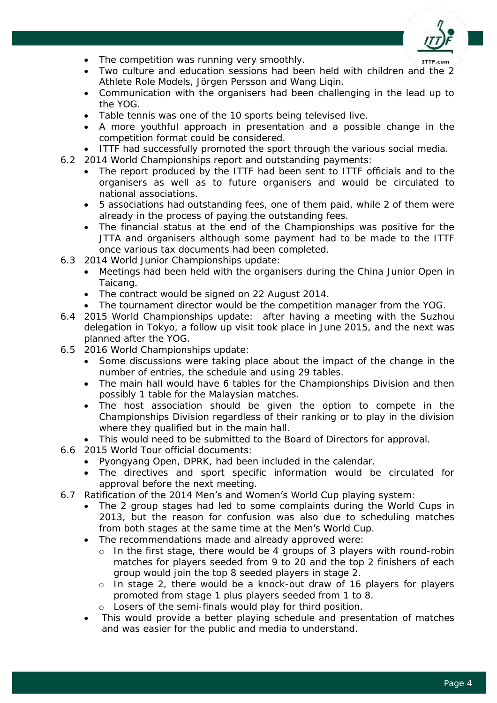

- The competition was running very smoothly.
- Two culture and education sessions had been held with children and the 2 Athlete Role Models, Jörgen Persson and Wang Liqin.
- Communication with the organisers had been challenging in the lead up to the YOG.
- Table tennis was one of the 10 sports being televised live.
- A more youthful approach in presentation and a possible change in the competition format could be considered.
- ITTF had successfully promoted the sport through the various social media.
- 6.2 2014 World Championships report and outstanding payments:
	- The report produced by the ITTF had been sent to ITTF officials and to the organisers as well as to future organisers and would be circulated to national associations.
	- 5 associations had outstanding fees, one of them paid, while 2 of them were already in the process of paying the outstanding fees.
	- The financial status at the end of the Championships was positive for the JTTA and organisers although some payment had to be made to the ITTF once various tax documents had been completed.
- 6.3 2014 World Junior Championships update:
	- Meetings had been held with the organisers during the China Junior Open in Taicang.
	- The contract would be signed on 22 August 2014.
	- The tournament director would be the competition manager from the YOG.
- 6.4 2015 World Championships update: after having a meeting with the Suzhou delegation in Tokyo, a follow up visit took place in June 2015, and the next was planned after the YOG.
- 6.5 2016 World Championships update:
	- Some discussions were taking place about the impact of the change in the number of entries, the schedule and using 29 tables.
	- The main hall would have 6 tables for the Championships Division and then possibly 1 table for the Malaysian matches.
	- The host association should be given the option to compete in the Championships Division regardless of their ranking or to play in the division where they qualified but in the main hall.
	- This would need to be submitted to the Board of Directors for approval.
- 6.6 2015 World Tour official documents:
	- Pyongyang Open, DPRK, had been included in the calendar.
	- The directives and sport specific information would be circulated for approval before the next meeting.

## 6.7 Ratification of the 2014 Men's and Women's World Cup playing system:

- The 2 group stages had led to some complaints during the World Cups in 2013, but the reason for confusion was also due to scheduling matches from both stages at the same time at the Men's World Cup.
- The recommendations made and already approved were:
	- o In the first stage, there would be 4 groups of 3 players with round-robin matches for players seeded from 9 to 20 and the top 2 finishers of each group would join the top 8 seeded players in stage 2.
	- o In stage 2, there would be a knock-out draw of 16 players for players promoted from stage 1 plus players seeded from 1 to 8.
	- o Losers of the semi-finals would play for third position.
- This would provide a better playing schedule and presentation of matches and was easier for the public and media to understand.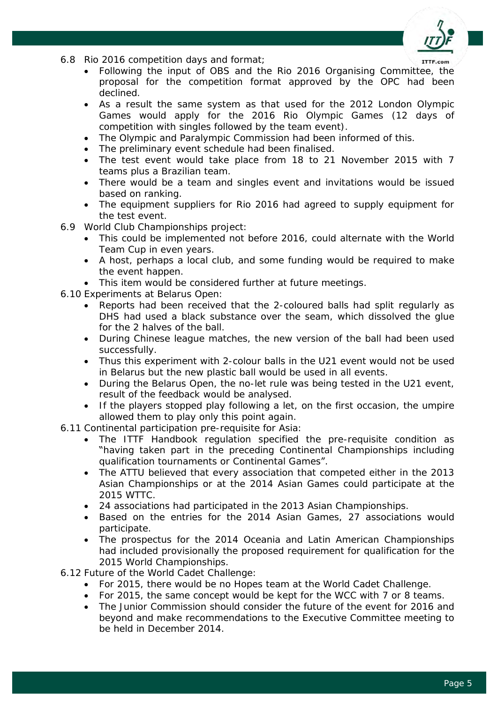

- 6.8 Rio 2016 competition days and format;
	- Following the input of OBS and the Rio 2016 Organising Committee, the proposal for the competition format approved by the OPC had been declined.
	- As a result the same system as that used for the 2012 London Olympic Games would apply for the 2016 Rio Olympic Games (12 days of competition with singles followed by the team event).
	- The Olympic and Paralympic Commission had been informed of this.
	- The preliminary event schedule had been finalised.
	- The test event would take place from 18 to 21 November 2015 with 7 teams plus a Brazilian team.
	- There would be a team and singles event and invitations would be issued based on ranking.
	- The equipment suppliers for Rio 2016 had agreed to supply equipment for the test event.
- 6.9 World Club Championships project:
	- This could be implemented not before 2016, could alternate with the World Team Cup in even years.
	- A host, perhaps a local club, and some funding would be required to make the event happen.
	- This item would be considered further at future meetings.
- 6.10 Experiments at Belarus Open:
	- Reports had been received that the 2-coloured balls had split regularly as DHS had used a black substance over the seam, which dissolved the glue for the 2 halves of the ball.
	- During Chinese league matches, the new version of the ball had been used successfully.
	- Thus this experiment with 2-colour balls in the U21 event would not be used in Belarus but the new plastic ball would be used in all events.
	- During the Belarus Open, the no-let rule was being tested in the U21 event, result of the feedback would be analysed.
	- If the players stopped play following a let, on the first occasion, the umpire allowed them to play only this point again.
- 6.11 Continental participation pre-requisite for Asia:
	- The ITTF Handbook regulation specified the pre-requisite condition as "having taken part in the preceding Continental Championships including qualification tournaments or Continental Games".
	- The ATTU believed that every association that competed either in the 2013 Asian Championships or at the 2014 Asian Games could participate at the 2015 WTTC.
	- 24 associations had participated in the 2013 Asian Championships.
	- Based on the entries for the 2014 Asian Games, 27 associations would participate.
	- The prospectus for the 2014 Oceania and Latin American Championships had included provisionally the proposed requirement for qualification for the 2015 World Championships.
- 6.12 Future of the World Cadet Challenge:
	- For 2015, there would be no Hopes team at the World Cadet Challenge.
	- For 2015, the same concept would be kept for the WCC with 7 or 8 teams.
	- The Junior Commission should consider the future of the event for 2016 and beyond and make recommendations to the Executive Committee meeting to be held in December 2014.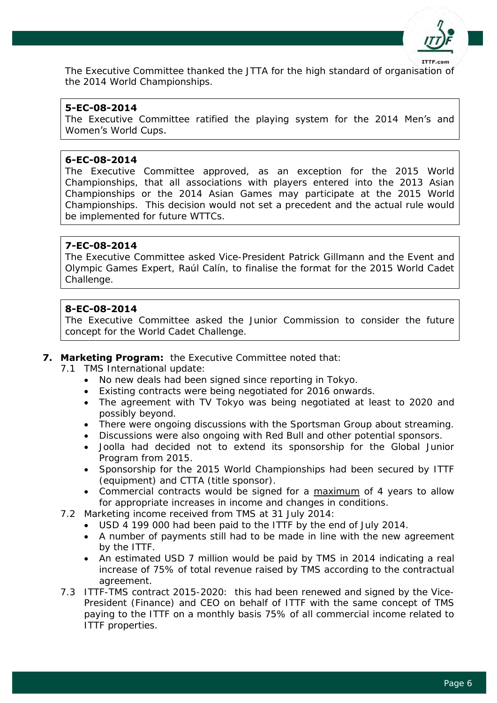

The Executive Committee thanked the JTTA for the high standard of organisation of the 2014 World Championships.

## **5-EC-08-2014**

The Executive Committee ratified the playing system for the 2014 Men's and Women's World Cups.

#### **6-EC-08-2014**

The Executive Committee approved, as an exception for the 2015 World Championships, that all associations with players entered into the 2013 Asian Championships or the 2014 Asian Games may participate at the 2015 World Championships. This decision would not set a precedent and the actual rule would be implemented for future WTTCs.

#### **7-EC-08-2014**

The Executive Committee asked Vice-President Patrick Gillmann and the Event and Olympic Games Expert, Raúl Calín, to finalise the format for the 2015 World Cadet Challenge.

#### **8-EC-08-2014**

The Executive Committee asked the Junior Commission to consider the future concept for the World Cadet Challenge.

#### **7. Marketing Program:** the Executive Committee noted that:

- 7.1 TMS International update:
	- No new deals had been signed since reporting in Tokyo.
	- Existing contracts were being negotiated for 2016 onwards.
	- The agreement with TV Tokyo was being negotiated at least to 2020 and possibly beyond.
	- There were ongoing discussions with the Sportsman Group about streaming.
	- Discussions were also ongoing with Red Bull and other potential sponsors.
	- Joolla had decided not to extend its sponsorship for the Global Junior Program from 2015.
	- Sponsorship for the 2015 World Championships had been secured by ITTF (equipment) and CTTA (title sponsor).
	- Commercial contracts would be signed for a maximum of 4 years to allow for appropriate increases in income and changes in conditions.
- 7.2 Marketing income received from TMS at 31 July 2014:
	- USD 4 199 000 had been paid to the ITTF by the end of July 2014.
	- A number of payments still had to be made in line with the new agreement by the ITTF.
	- An estimated USD 7 million would be paid by TMS in 2014 indicating a real increase of 75% of total revenue raised by TMS according to the contractual agreement.
- 7.3 ITTF-TMS contract 2015-2020: this had been renewed and signed by the Vice-President (Finance) and CEO on behalf of ITTF with the same concept of TMS paying to the ITTF on a monthly basis 75% of all commercial income related to ITTF properties.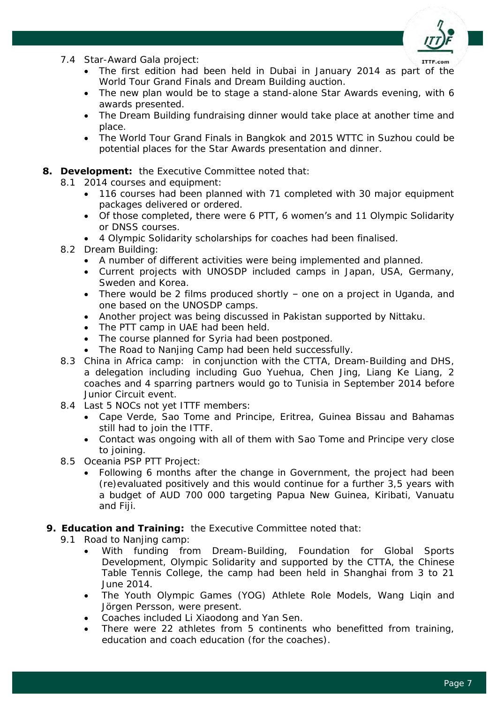

- 7.4 Star-Award Gala project:
	- The first edition had been held in Dubai in January 2014 as part of the World Tour Grand Finals and Dream Building auction.
	- The new plan would be to stage a stand-alone Star Awards evening, with 6 awards presented.
	- The Dream Building fundraising dinner would take place at another time and place.
	- The World Tour Grand Finals in Bangkok and 2015 WTTC in Suzhou could be potential places for the Star Awards presentation and dinner.

## **8. Development:** the Executive Committee noted that:

- 8.1 2014 courses and equipment:
	- 116 courses had been planned with 71 completed with 30 major equipment packages delivered or ordered.
	- Of those completed, there were 6 PTT, 6 women's and 11 Olympic Solidarity or DNSS courses.
	- 4 Olympic Solidarity scholarships for coaches had been finalised.

## 8.2 Dream Building:

- A number of different activities were being implemented and planned.
- Current projects with UNOSDP included camps in Japan, USA, Germany, Sweden and Korea.
- There would be 2 films produced shortly one on a project in Uganda, and one based on the UNOSDP camps.
- Another project was being discussed in Pakistan supported by Nittaku.
- The PTT camp in UAE had been held.
- The course planned for Syria had been postponed.
- The Road to Nanjing Camp had been held successfully.
- 8.3 China in Africa camp: in conjunction with the CTTA, Dream-Building and DHS, a delegation including including Guo Yuehua, Chen Jing, Liang Ke Liang, 2 coaches and 4 sparring partners would go to Tunisia in September 2014 before Junior Circuit event.
- 8.4 Last 5 NOCs not yet ITTF members:
	- Cape Verde, Sao Tome and Principe, Eritrea, Guinea Bissau and Bahamas still had to join the ITTF.
	- Contact was ongoing with all of them with Sao Tome and Principe very close to joining.
- 8.5 Oceania PSP PTT Project:
	- Following 6 months after the change in Government, the project had been (re)evaluated positively and this would continue for a further 3,5 years with a budget of AUD 700 000 targeting Papua New Guinea, Kiribati, Vanuatu and Fiji.

## **9. Education and Training:** the Executive Committee noted that:

- 9.1 Road to Nanjing camp:
	- With funding from Dream-Building, Foundation for Global Sports Development, Olympic Solidarity and supported by the CTTA, the Chinese Table Tennis College, the camp had been held in Shanghai from 3 to 21 June 2014.
	- The Youth Olympic Games (YOG) Athlete Role Models, Wang Liqin and Jörgen Persson, were present.
	- Coaches included Li Xiaodong and Yan Sen.
	- There were 22 athletes from 5 continents who benefitted from training, education and coach education (for the coaches).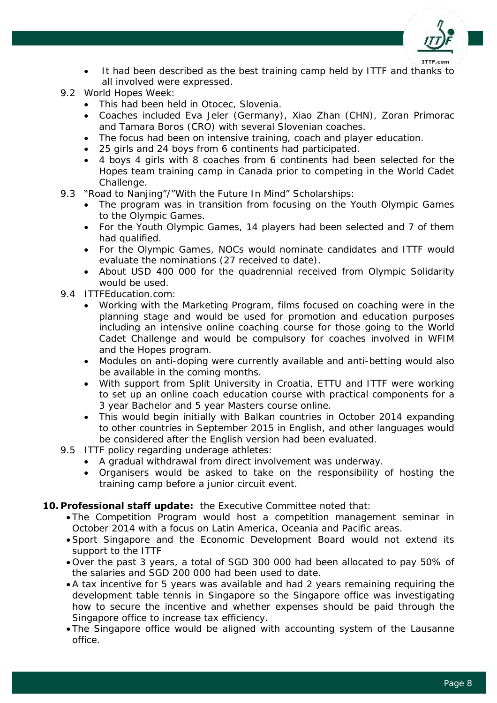

- It had been described as the best training camp held by ITTF and thanks to all involved were expressed.
- 9.2 World Hopes Week:
	- This had been held in Otocec, Slovenia.
	- Coaches included Eva Jeler (Germany), Xiao Zhan (CHN), Zoran Primorac and Tamara Boros (CRO) with several Slovenian coaches.
	- The focus had been on intensive training, coach and player education.
	- 25 girls and 24 boys from 6 continents had participated.
	- 4 boys 4 girls with 8 coaches from 6 continents had been selected for the Hopes team training camp in Canada prior to competing in the World Cadet Challenge.
- 9.3 "Road to Nanjing"/"With the Future In Mind" Scholarships:
	- The program was in transition from focusing on the Youth Olympic Games to the Olympic Games.
	- For the Youth Olympic Games, 14 players had been selected and 7 of them had qualified.
	- For the Olympic Games, NOCs would nominate candidates and ITTF would evaluate the nominations (27 received to date).
	- About USD 400 000 for the quadrennial received from Olympic Solidarity would be used.
- 9.4 ITTFEducation.com:
	- Working with the Marketing Program, films focused on coaching were in the planning stage and would be used for promotion and education purposes including an intensive online coaching course for those going to the World Cadet Challenge and would be compulsory for coaches involved in WFIM and the Hopes program.
	- Modules on anti-doping were currently available and anti-betting would also be available in the coming months.
	- With support from Split University in Croatia, ETTU and ITTF were working to set up an online coach education course with practical components for a 3 year Bachelor and 5 year Masters course online.
	- This would begin initially with Balkan countries in October 2014 expanding to other countries in September 2015 in English, and other languages would be considered after the English version had been evaluated.
- 9.5 ITTF policy regarding underage athletes:
	- A gradual withdrawal from direct involvement was underway.
	- Organisers would be asked to take on the responsibility of hosting the training camp before a junior circuit event.

## **10. Professional staff update:** the Executive Committee noted that:

- The Competition Program would host a competition management seminar in October 2014 with a focus on Latin America, Oceania and Pacific areas.
- Sport Singapore and the Economic Development Board would not extend its support to the ITTF
- Over the past 3 years, a total of SGD 300 000 had been allocated to pay 50% of the salaries and SGD 200 000 had been used to date.
- A tax incentive for 5 years was available and had 2 years remaining requiring the development table tennis in Singapore so the Singapore office was investigating how to secure the incentive and whether expenses should be paid through the Singapore office to increase tax efficiency.
- The Singapore office would be aligned with accounting system of the Lausanne office.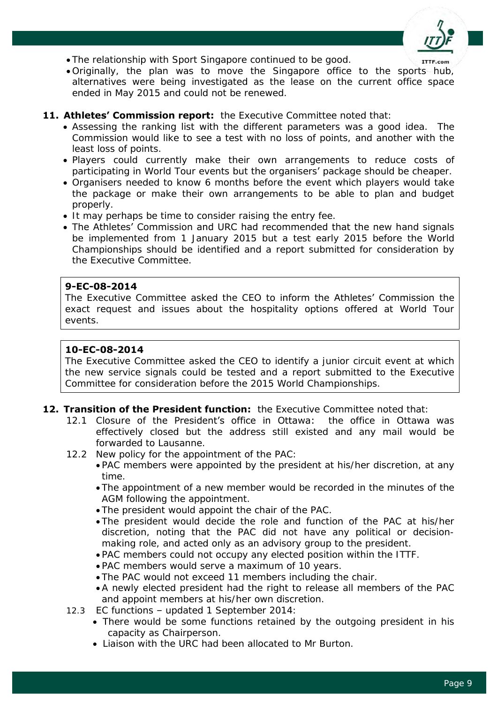

- The relationship with Sport Singapore continued to be good.
- Originally, the plan was to move the Singapore office to the sports hub, alternatives were being investigated as the lease on the current office space ended in May 2015 and could not be renewed.

#### **11. Athletes' Commission report:** the Executive Committee noted that:

- Assessing the ranking list with the different parameters was a good idea. The Commission would like to see a test with no loss of points, and another with the least loss of points.
- Players could currently make their own arrangements to reduce costs of participating in World Tour events but the organisers' package should be cheaper.
- Organisers needed to know 6 months before the event which players would take the package or make their own arrangements to be able to plan and budget properly.
- It may perhaps be time to consider raising the entry fee.
- The Athletes' Commission and URC had recommended that the new hand signals be implemented from 1 January 2015 but a test early 2015 before the World Championships should be identified and a report submitted for consideration by the Executive Committee.

#### **9-EC-08-2014**

The Executive Committee asked the CEO to inform the Athletes' Commission the exact request and issues about the hospitality options offered at World Tour events.

#### **10-EC-08-2014**

The Executive Committee asked the CEO to identify a junior circuit event at which the new service signals could be tested and a report submitted to the Executive Committee for consideration before the 2015 World Championships.

#### **12. Transition of the President function:** the Executive Committee noted that:

- 12.1 Closure of the President's office in Ottawa: the office in Ottawa was effectively closed but the address still existed and any mail would be forwarded to Lausanne.
- 12.2 New policy for the appointment of the PAC:
	- PAC members were appointed by the president at his/her discretion, at any time.
	- The appointment of a new member would be recorded in the minutes of the AGM following the appointment.
	- The president would appoint the chair of the PAC.
	- The president would decide the role and function of the PAC at his/her discretion, noting that the PAC did not have any political or decisionmaking role, and acted only as an advisory group to the president.
	- PAC members could not occupy any elected position within the ITTF.
	- PAC members would serve a maximum of 10 years.
	- The PAC would not exceed 11 members including the chair.
	- A newly elected president had the right to release all members of the PAC and appoint members at his/her own discretion.
- 12.3 EC functions updated 1 September 2014:
	- There would be some functions retained by the outgoing president in his capacity as Chairperson.
	- Liaison with the URC had been allocated to Mr Burton.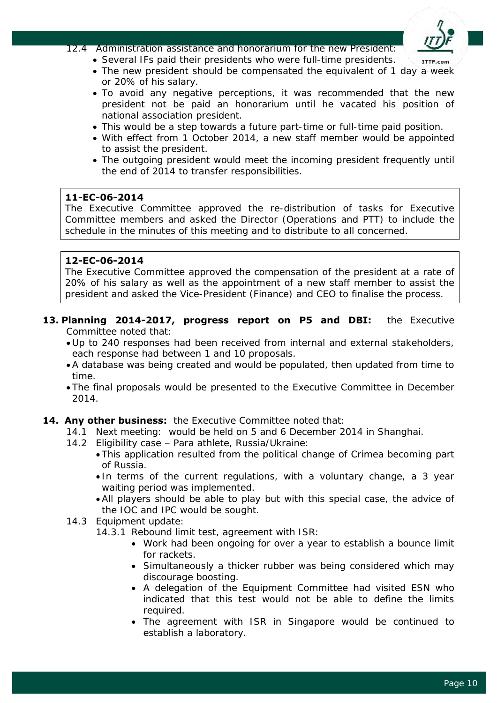

12.4 Administration assistance and honorarium for the new President:

- Several IFs paid their presidents who were full-time presidents.
- The new president should be compensated the equivalent of 1 day a week or 20% of his salary.
- To avoid any negative perceptions, it was recommended that the new president not be paid an honorarium until he vacated his position of national association president.
- This would be a step towards a future part-time or full-time paid position.
- With effect from 1 October 2014, a new staff member would be appointed to assist the president.
- The outgoing president would meet the incoming president frequently until the end of 2014 to transfer responsibilities.

## **11-EC-06-2014**

The Executive Committee approved the re-distribution of tasks for Executive Committee members and asked the Director (Operations and PTT) to include the schedule in the minutes of this meeting and to distribute to all concerned.

## **12-EC-06-2014**

The Executive Committee approved the compensation of the president at a rate of 20% of his salary as well as the appointment of a new staff member to assist the president and asked the Vice-President (Finance) and CEO to finalise the process.

- **13. Planning 2014-2017, progress report on P5 and DBI:** the Executive Committee noted that:
	- Up to 240 responses had been received from internal and external stakeholders, each response had between 1 and 10 proposals.
	- A database was being created and would be populated, then updated from time to time.
	- The final proposals would be presented to the Executive Committee in December 2014.
- **14. Any other business:** the Executive Committee noted that:
	- 14.1 Next meeting: would be held on 5 and 6 December 2014 in Shanghai.
	- 14.2 Eligibility case Para athlete, Russia/Ukraine:
		- This application resulted from the political change of Crimea becoming part of Russia.
			- In terms of the current regulations, with a voluntary change, a 3 year waiting period was implemented.
			- All players should be able to play but with this special case, the advice of the IOC and IPC would be sought.
	- 14.3 Equipment update:
		- 14.3.1 Rebound limit test, agreement with ISR:
			- Work had been ongoing for over a year to establish a bounce limit for rackets.
			- Simultaneously a thicker rubber was being considered which may discourage boosting.
			- A delegation of the Equipment Committee had visited ESN who indicated that this test would not be able to define the limits required.
			- The agreement with ISR in Singapore would be continued to establish a laboratory.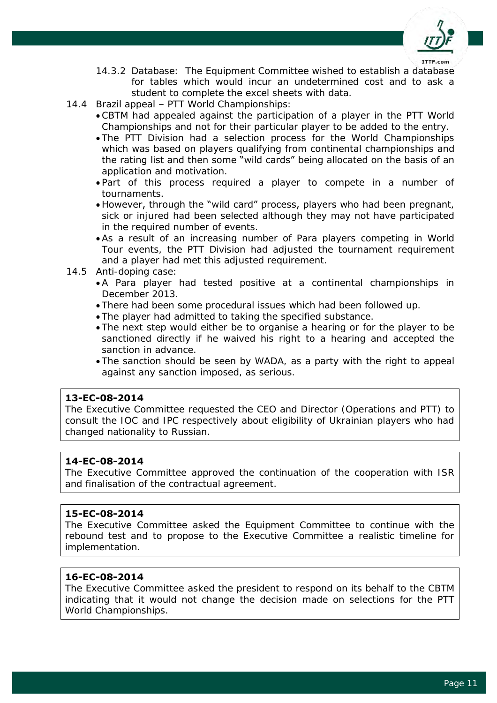

- 14.3.2 Database: The Equipment Committee wished to establish a database for tables which would incur an undetermined cost and to ask a student to complete the excel sheets with data.
- 14.4 Brazil appeal PTT World Championships:
	- CBTM had appealed against the participation of a player in the PTT World Championships and not for their particular player to be added to the entry.
	- The PTT Division had a selection process for the World Championships which was based on players qualifying from continental championships and the rating list and then some "wild cards" being allocated on the basis of an application and motivation.
	- Part of this process required a player to compete in a number of tournaments.
	- However, through the "wild card" process, players who had been pregnant, sick or injured had been selected although they may not have participated in the required number of events.
	- As a result of an increasing number of Para players competing in World Tour events, the PTT Division had adjusted the tournament requirement and a player had met this adjusted requirement.
- 14.5 Anti-doping case:
	- A Para player had tested positive at a continental championships in December 2013.
	- There had been some procedural issues which had been followed up.
	- The player had admitted to taking the specified substance.
	- The next step would either be to organise a hearing or for the player to be sanctioned directly if he waived his right to a hearing and accepted the sanction in advance.
	- The sanction should be seen by WADA, as a party with the right to appeal against any sanction imposed, as serious.

#### **13-EC-08-2014**

The Executive Committee requested the CEO and Director (Operations and PTT) to consult the IOC and IPC respectively about eligibility of Ukrainian players who had changed nationality to Russian.

#### **14-EC-08-2014**

The Executive Committee approved the continuation of the cooperation with ISR and finalisation of the contractual agreement.

#### **15-EC-08-2014**

The Executive Committee asked the Equipment Committee to continue with the rebound test and to propose to the Executive Committee a realistic timeline for implementation.

## **16-EC-08-2014**

The Executive Committee asked the president to respond on its behalf to the CBTM indicating that it would not change the decision made on selections for the PTT World Championships.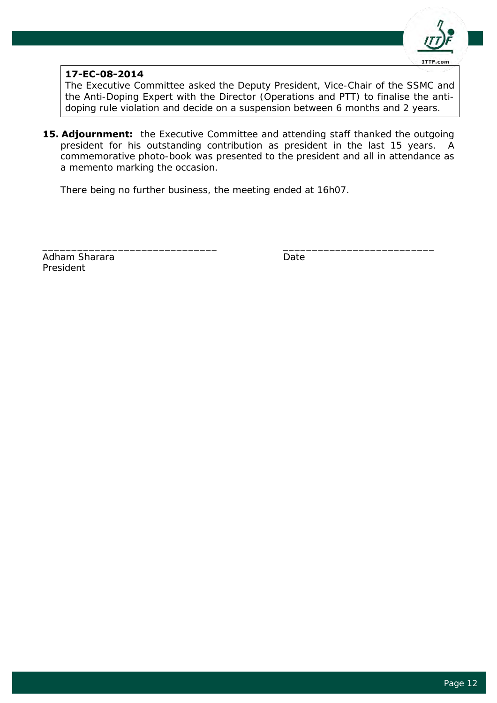

## **17-EC-08-2014**

The Executive Committee asked the Deputy President, Vice-Chair of the SSMC and the Anti-Doping Expert with the Director (Operations and PTT) to finalise the antidoping rule violation and decide on a suspension between 6 months and 2 years.

**15. Adjournment:** the Executive Committee and attending staff thanked the outgoing president for his outstanding contribution as president in the last 15 years. A commemorative photo-book was presented to the president and all in attendance as a memento marking the occasion.

\_\_\_\_\_\_\_\_\_\_\_\_\_\_\_\_\_\_\_\_\_\_\_\_\_\_\_\_\_\_ \_\_\_\_\_\_\_\_\_\_\_\_\_\_\_\_\_\_\_\_\_\_\_\_\_\_

There being no further business, the meeting ended at 16h07.

Adham Sharara **Date** Date President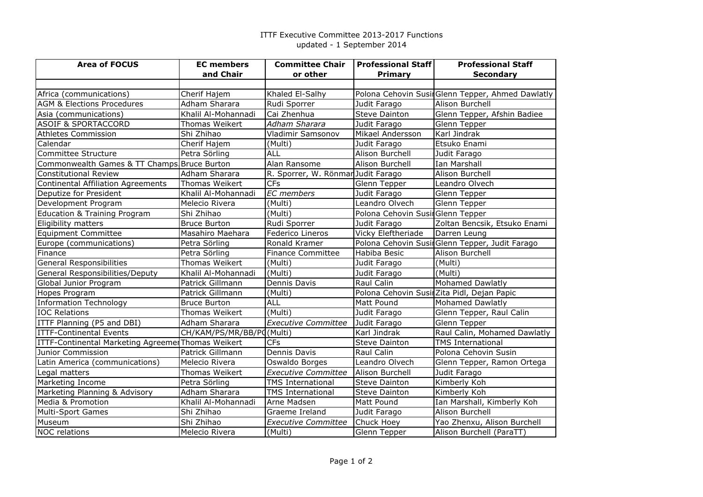#### ITTF Executive Committee 2013-2017 Functionsupdated - 1 September 2014

| <b>Area of FOCUS</b>                               | <b>EC</b> members         | <b>Committee Chair</b>             | <b>Professional Staff</b>        | <b>Professional Staff</b>                        |
|----------------------------------------------------|---------------------------|------------------------------------|----------------------------------|--------------------------------------------------|
|                                                    | and Chair                 | or other                           | Primary                          | <b>Secondary</b>                                 |
|                                                    |                           |                                    |                                  |                                                  |
| Africa (communications)                            | Cherif Hajem              | Khaled El-Salhy                    |                                  | Polona Cehovin SusinGlenn Tepper, Ahmed Dawlatly |
| <b>AGM &amp; Elections Procedures</b>              | Adham Sharara             | Rudi Sporrer                       | Judit Farago                     | Alison Burchell                                  |
| Asia (communications)                              | Khalil Al-Mohannadi       | Cai Zhenhua                        | <b>Steve Dainton</b>             | Glenn Tepper, Afshin Badiee                      |
| <b>ASOIF &amp; SPORTACCORD</b>                     | Thomas Weikert            | Adham Sharara                      | Judit Farago                     | Glenn Tepper                                     |
| <b>Athletes Commission</b>                         | Shi Zhihao                | Vladimir Samsonov                  | Mikael Andersson                 | Karl Jindrak                                     |
| Calendar                                           | Cherif Hajem              | (Multi)                            | Judit Farago                     | Etsuko Enami                                     |
| Committee Structure                                | Petra Sörling             | <b>ALL</b>                         | Alison Burchell                  | Judit Farago                                     |
| Commonwealth Games & TT Champs Bruce Burton        |                           | Alan Ransome                       | Alison Burchell                  | Ian Marshall                                     |
| <b>Constitutional Review</b>                       | Adham Sharara             | R. Sporrer, W. Rönmar Judit Farago |                                  | Alison Burchell                                  |
| Continental Affiliation Agreements                 | Thomas Weikert            | <b>CFs</b>                         | Glenn Tepper                     | Leandro Olvech                                   |
| Deputize for President                             | Khalil Al-Mohannadi       | <b>EC</b> members                  | Judit Farago                     | Glenn Tepper                                     |
| Development Program                                | Melecio Rivera            | (Multi)                            | Leandro Olvech                   | Glenn Tepper                                     |
| <b>Education &amp; Training Program</b>            | Shi Zhihao                | (Multi)                            | Polona Cehovin SusinGlenn Tepper |                                                  |
| Eligibility matters                                | <b>Bruce Burton</b>       | Rudi Sporrer                       | Judit Farago                     | Zoltan Bencsik, Etsuko Enami                     |
| <b>Equipment Committee</b>                         | Masahiro Maehara          | Federico Lineros                   | Vicky Eleftheriade               | Darren Leung                                     |
| Europe (communications)                            | Petra Sörling             | Ronald Kramer                      |                                  | Polona Cehovin SusinGlenn Tepper, Judit Farago   |
| Finance                                            | Petra Sörling             | <b>Finance Committee</b>           | Habiba Besic                     | Alison Burchell                                  |
| <b>General Responsibilities</b>                    | Thomas Weikert            | (Multi)                            | Judit Farago                     | $\overline{\text{(Multi)}}$                      |
| General Responsibilities/Deputy                    | Khalil Al-Mohannadi       | (Multi)                            | Judit Farago                     | (Multi)                                          |
| Global Junior Program                              | Patrick Gillmann          | Dennis Davis                       | Raul Calin                       | <b>Mohamed Dawlatly</b>                          |
| Hopes Program                                      | Patrick Gillmann          | (Multi)                            |                                  | Polona Cehovin SusirZita Pidl, Dejan Papic       |
| <b>Information Technology</b>                      | <b>Bruce Burton</b>       | <b>ALL</b>                         | Matt Pound                       | Mohamed Dawlatly                                 |
| <b>IOC Relations</b>                               | Thomas Weikert            | (Multi)                            | Judit Farago                     | Glenn Tepper, Raul Calin                         |
| ITTF Planning (P5 and DBI)                         | Adham Sharara             | <b>Executive Committee</b>         | Judit Farago                     | Glenn Tepper                                     |
| <b>ITTF-Continental Events</b>                     | CH/KAM/PS/MR/BB/PC(Multi) |                                    | Karl Jindrak                     | Raul Calin, Mohamed Dawlatly                     |
| ITTF-Continental Marketing Agreemer Thomas Weikert |                           | CFs                                | <b>Steve Dainton</b>             | <b>TMS International</b>                         |
| Junior Commission                                  | Patrick Gillmann          | Dennis Davis                       | Raul Calin                       | Polona Cehovin Susin                             |
| Latin America (communications)                     | Melecio Rivera            | Oswaldo Borges                     | Leandro Olvech                   | Glenn Tepper, Ramon Ortega                       |
| Legal matters                                      | Thomas Weikert            | <b>Executive Committee</b>         | Alison Burchell                  | Judit Farago                                     |
| Marketing Income                                   | Petra Sörling             | <b>TMS International</b>           | <b>Steve Dainton</b>             | Kimberly Koh                                     |
| Marketing Planning & Advisory                      | Adham Sharara             | <b>TMS International</b>           | Steve Dainton                    | Kimberly Koh                                     |
| Media & Promotion                                  | Khalil Al-Mohannadi       | Arne Madsen                        | Matt Pound                       | Ian Marshall, Kimberly Koh                       |
| <b>Multi-Sport Games</b>                           | Shi Zhihao                | Graeme Ireland                     | Judit Farago                     | Alison Burchell                                  |
| Museum                                             | Shi Zhihao                | <b>Executive Committee</b>         | Chuck Hoey                       | Yao Zhenxu, Alison Burchell                      |
| <b>NOC</b> relations                               | Melecio Rivera            | (Multi)                            | Glenn Tepper                     | Alison Burchell (ParaTT)                         |